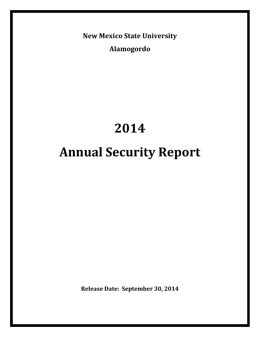**New Mexico State University**

**Alamogordo**

# **2014 Annual Security Report**

**Release Date: September 30, 2014**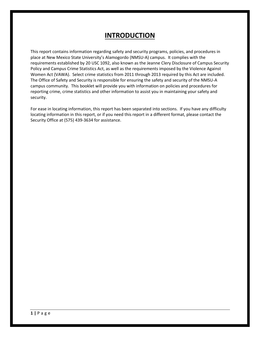# **INTRODUCTION**

This report contains information regarding safety and security programs, policies, and procedures in place at New Mexico State University's Alamogordo (NMSU-A) campus. It complies with the requirements established by 20 USC 1092, also known as the Jeanne Clery Disclosure of Campus Security Policy and Campus Crime Statistics Act, as well as the requirements imposed by the Violence Against Women Act (VAWA). Select crime statistics from 2011 through 2013 required by this Act are included. The Office of Safety and Security is responsible for ensuring the safety and security of the NMSU-A campus community. This booklet will provide you with information on policies and procedures for reporting crime, crime statistics and other information to assist you in maintaining your safety and security.

For ease in locating information, this report has been separated into sections. If you have any difficulty locating information in this report, or if you need this report in a different format, please contact the Security Office at (575) 439-3634 for assistance.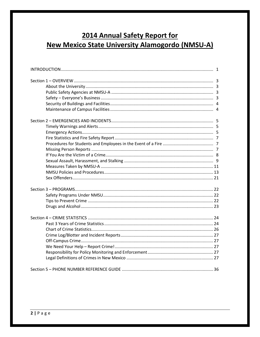# 2014 Annual Safety Report for **New Mexico State University Alamogordo (NMSU-A)**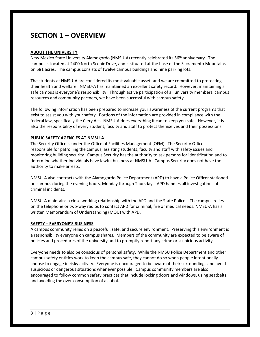# **SECTION 1 – OVERVIEW**

#### **ABOUT THE UNIVERSITY**

New Mexico State University Alamogordo (NMSU-A) recently celebrated its 56<sup>th</sup> anniversary. The campus is located at 2400 North Scenic Drive, and is situated at the base of the Sacramento Mountains on 581 acres. The campus consists of twelve campus buildings and nine parking lots.

The students at NMSU-A are considered its most valuable asset, and we are committed to protecting their health and welfare. NMSU-A has maintained an excellent safety record. However, maintaining a safe campus is everyone's responsibility. Through active participation of all university members, campus resources and community partners, we have been successful with campus safety.

The following information has been prepared to increase your awareness of the current programs that exist to assist you with your safety. Portions of the information are provided in compliance with the federal law, specifically the Clery Act. NMSU-A does everything it can to keep you safe. However, it is also the responsibility of every student, faculty and staff to protect themselves and their possessions.

#### **PUBLIC SAFETY AGENCIES AT NMSU-A**

The Security Office is under the Office of Facilities Management (OFM). The Security Office is responsible for patrolling the campus, assisting students, faculty and staff with safety issues and monitoring building security. Campus Security has the authority to ask persons for identification and to determine whether individuals have lawful business at NMSU-A. Campus Security does not have the authority to make arrests.

NMSU-A also contracts with the Alamogordo Police Department (APD) to have a Police Officer stationed on campus during the evening hours, Monday through Thursday. APD handles all investigations of criminal incidents.

NMSU-A maintains a close working relationship with the APD and the State Police. The campus relies on the telephone or two-way radios to contact APD for criminal, fire or medical needs. NMSU-A has a written Memorandum of Understanding (MOU) with APD.

#### **SAFETY – EVERYONE'S BUSINESS**

A campus community relies on a peaceful, safe, and secure environment. Preserving this environment is a responsibility everyone on campus shares. Members of the community are expected to be aware of policies and procedures of the university and to promptly report any crime or suspicious activity.

Everyone needs to also be conscious of personal safety. While the NMSU Police Department and other campus safety entities work to keep the campus safe, they cannot do so when people intentionally choose to engage in risky activity. Everyone is encouraged to be aware of their surroundings and avoid suspicious or dangerous situations whenever possible. Campus community members are also encouraged to follow common safety practices that include locking doors and windows, using seatbelts, and avoiding the over-consumption of alcohol.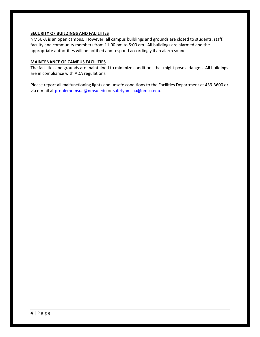#### **SECURITY OF BUILDINGS AND FACILITIES**

NMSU-A is an open campus. However, all campus buildings and grounds are closed to students, staff, faculty and community members from 11:00 pm to 5:00 am. All buildings are alarmed and the appropriate authorities will be notified and respond accordingly if an alarm sounds.

#### **MAINTENANCE OF CAMPUS FACILITIES**

The facilities and grounds are maintained to minimize conditions that might pose a danger. All buildings are in compliance with ADA regulations.

Please report all malfunctioning lights and unsafe conditions to the Facilities Department at 439-3600 or via e-mail at [problemnmsua@nmsu.edu](mailto:problemnmsua@nmsu.edu) or [safetynmsua@nmsu.edu.](mailto:safetynmsua@nmsu.edu)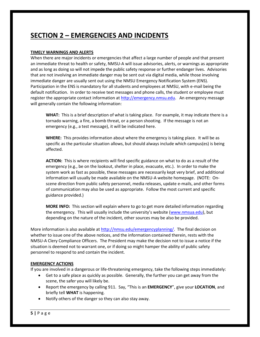# **SECTION 2 – EMERGENCIES AND INCIDENTS**

# **TIMELY WARNINGS AND ALERTS**

When there are major incidents or emergencies that affect a large number of people and that present an immediate threat to health or safety, NMSU-A will issue advisories, alerts, or warnings as appropriate and as long as doing so will not impede the public safety response or further endanger lives. Advisories that are not involving an immediate danger may be sent out via digital media, while those involving immediate danger are usually sent out using the NMSU Emergency Notification System (ENS). Participation in the ENS is mandatory for all students and employees at NMSU, with e-mail being the default notification. In order to receive text messages and phone calls, the student or employee must register the appropriate contact information at [http://emergency.nmsu.edu.](http://emergency.nmsu.edu/) An emergency message will generally contain the following information:

**WHAT:** This is a brief description of what is taking place. For example, it may indicate there is a tornado warning, a fire, a bomb threat, or a person shooting. If the message is not an emergency (e.g., a test message), it will be indicated here.

**WHERE:** This provides information about where the emergency is taking place. It will be as specific as the particular situation allows, but should always include which campus(es) is being affected.

**ACTION:** This is where recipients will find specific guidance on what to do as a result of the emergency (e.g., be on the lookout, shelter in place, evacuate, etc.). In order to make the system work as fast as possible, these messages are necessarily kept very brief, and additional information will usually be made available on the NMSU-A website homepage. (NOTE: Onscene direction from public safety personnel, media releases, update e-mails, and other forms of communication may also be used as appropriate. Follow the most current and specific guidance provided.)

**MORE INFO:** This section will explain where to go to get more detailed information regarding the emergency. This will usually include the university's website ([www.nmsua.edu\)](http://www.nmsua.edu/), but depending on the nature of the incident, other sources may be also be provided.

More information is also available at [http://nmsu.edu/emergencyplanning/.](http://nmsu.edu/emergencyplanning/) The final decision on whether to issue one of the above notices, and the information contained therein, rests with the NMSU-A Clery Compliance Officers. The President may make the decision not to issue a notice if the situation is deemed not to warrant one, or if doing so might hamper the ability of public safety personnel to respond to and contain the incident.

# **EMERGENCY ACTIONS**

If you are involved in a dangerous or life-threatening emergency, take the following steps immediately:

- Get to a safe place as quickly as possible. Generally, the further you can get away from the scene, the safer you will likely be.
- Report the emergency by calling 911. Say, "This is an **EMERGENCY**", give your **LOCATION**, and briefly tell **WHAT** is happening.
- Notify others of the danger so they can also stay away.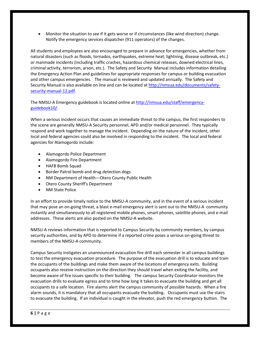Monitor the situation to see if it gets worse or if circumstances (like wind direction) change. Notify the emergency services dispatcher (911 operators) of the changes.

All students and employees are also encouraged to prepare in advance for emergencies, whether from natural disasters (such as floods, tornados, earthquakes, extreme heat, lightning, disease outbreak, etc.) or manmade incidents (including traffic crashes, hazardous chemical releases, downed electrical lines, criminal activity, terrorism, arson, etc.). The Safety and Security Manual includes information detailing the Emergency Action Plan and guidelines for appropriate responses for campus or building evacuation and other campus emergencies. The manual is reviewed and updated annually. The Safety and Security Manual is also available on line and can be located at [http://nmsua.edu/documents/safety](http://nmsua.edu/documents/safety-security-manual-12.pdf)[security-manual-12.pdf.](http://nmsua.edu/documents/safety-security-manual-12.pdf)

The NMSU-A Emergency guidebook is located online at [http://nmsua.edu/staff/emergency](http://nmsua.edu/staff/emergency-guidebook10/)[guidebook10/.](http://nmsua.edu/staff/emergency-guidebook10/)

When a serious incident occurs that causes an immediate threat to the campus, the first responders to the scene are generally NMSU-A Security personnel, APD and/or medical personnel. They typically respond and work together to manage the incident. Depending on the nature of the incident, other local and federal agencies could also be involved in responding to the incident. The local and federal agencies for Alamogordo include:

- Alamogordo Police Department
- Alamogordo Fire Department
- HAFB Bomb Squad
- Border Patrol bomb and drug detection dogs
- NM Department of Health—Otero County Public Health
- Otero County Sheriff's Department
- NM State Police

In an effort to provide timely notice to the NMSU-A community, and in the event of a serious incident that may pose an on-going threat, a blast e-mail emergency alert is sent out to the NMSU-A community instantly and simultaneously to all registered mobile phones, smart phones, satellite phones, and e-mail addresses. These alerts are also posted on the NMSU-A website.

NMSU-A reviews information that is reported to Campus Security by community members, by campus security authorities, and by APD to determine if a reported crime poses a serious on-going threat to members of the NMSU-A community.

Campus Security instigates an unannounced evacuation fire drill each semester in all campus buildings to test the emergency evacuation procedure. The purpose of the evacuation drill is to educate and train the occupants of the buildings and make them aware of the locations of emergency exits. Building occupants also receive instruction on the direction they should travel when exiting the facility, and become aware of fire issues specific to their building. The campus Security Coordinator monitors the evacuation drills to evaluate egress and to time how long it takes to evacuate the building and get all occupants to a safe location. Fire alarms alert the campus community of possible hazards. When a fire alarm sounds, it is mandatory that all occupants evacuate the building. Occupants must use the stairs to evacuate the building. If an individual is caught in the elevator, push the red emergency button. The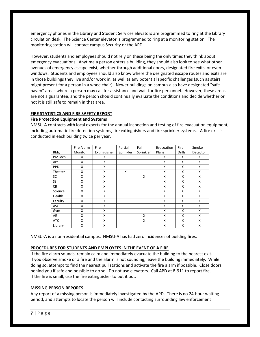emergency phones in the Library and Student Services elevators are programmed to ring at the Library circulation desk. The Science Center elevator is programmed to ring at a monitoring station. The monitoring station will contact campus Security or the APD.

However, students and employees should not rely on these being the only times they think about emergency evacuations. Anytime a person enters a building, they should also look to see what other avenues of emergency escape exist, whether through additional doors, designated fire exits, or even windows. Students and employees should also know where the designated escape routes and exits are in those buildings they live and/or work in, as well as any potential specific challenges (such as stairs might present for a person in a wheelchair). Newer buildings on campus also have designated "safe haven" areas where a person may call for assistance and wait for fire personnel. However, these areas are not a guarantee, and the person should continually evaluate the conditions and decide whether or not it is still safe to remain in that area.

# **FIRE STATISTICS AND FIRE SAFETY REPORT**

#### **Fire Protection Equipment and Systems**

NMSU-A contracts with local experts for the annual inspection and testing of fire evacuation equipment, including automatic fire detection systems, fire extinguishers and fire sprinkler systems. A fire drill is conducted in each building twice per year.

|             | Fire Alarm | Fire         | Partial   | Full      | Evacuation | Fire          | Smoke    |
|-------------|------------|--------------|-----------|-----------|------------|---------------|----------|
| <b>Bldg</b> | Monitor    | Extinguisher | Sprinkler | Sprinkler | Plans      | <b>Drills</b> | Detector |
| ProTech     | X          | X            |           |           | X          | x             | X        |
| Art         | X          | X            |           |           | X          | x             | X        |
| <b>PPD</b>  | X          | X            |           |           | X          | x             | X        |
| Theater     | x          | X            | x         |           | X          | x             | X        |
| SC          | X          | X            |           | X         | X          | X             | X        |
| SS          | X          | X            |           |           | X          | x             | X        |
| CB          | X          | X            |           |           | X          | x             | X        |
| Science     | x          | X            |           |           | X          | x             | X        |
| Health      | X          | X            |           |           | X          | x             | X        |
| Faculty     | X          | X            |           |           | X          | x             | X        |
| ASC         | X          | Χ            |           |           | X          | X             | X        |
| Gym         | X          | X            |           |           | X          | x             | X        |
| AE          | X          | X            |           | X         | X          | x             | X        |
| <b>ATC</b>  | X          | X            |           | X         | X          | x             | X        |
| Library     | X          | X            |           |           | X          | X             | X        |

NMSU-A is a non-residential campus. NMSU-A has had zero incidences of building fires.

#### **PROCEDURES FOR STUDENTS AND EMPLOYEES IN THE EVENT OF A FIRE**

If the fire alarm sounds, remain calm and immediately evacuate the building to the nearest exit. If you observe smoke or a fire and the alarm is not sounding, leave the building immediately. While doing so, attempt to find the nearest pull stations and activate the fire alarm if possible. Close doors behind you if safe and possible to do so. Do not use elevators. Call APD at 8-911 to report fire. If the fire is small, use the fire extinguisher to put it out.

#### **MISSING PERSON REPORTS**

Any report of a missing person is immediately investigated by the APD. There is no 24-hour waiting period, and attempts to locate the person will include contacting surrounding law enforcement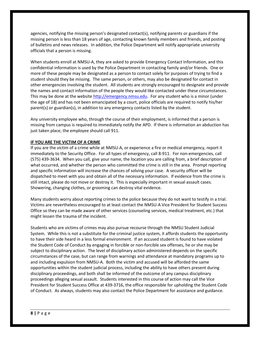agencies, notifying the missing person's designated contact(s), notifying parents or guardians if the missing person is less than 18 years of age, contacting known family members and friends, and posting of bulletins and news releases. In addition, the Police Department will notify appropriate university officials that a person is missing.

When students enroll at NMSU-A, they are asked to provide Emergency Contact Information, and this confidential information is used by the Police Department in contacting family and/or friends. One or more of these people may be designated as a person to contact solely for purposes of trying to find a student should they be missing. The same person, or others, may also be designated for contact in other emergencies involving the student. All students are strongly encouraged to designate and provide the names and contact information of the people they would like contacted under these circumstances. This may be done at the websit[e http://emergency.nmsu.edu.](http://emergency.nmsu.edu/) For any student who is a minor (under the age of 18) and has not been emancipated by a court, police officials are required to notify his/her parent(s) or guardian(s), in addition to any emergency contacts listed by the student.

Any university employee who, through the course of their employment, is informed that a person is missing from campus is required to immediately notify the APD. If there is information an abduction has just taken place, the employee should call 911.

# **IF YOU ARE THE VICTIM OF A CRIME**

If you are the victim of a crime while at NMSU-A, or experience a fire or medical emergency, report it immediately to the Security Office. For all types of emergency, call 8-911. For non-emergencies, call (575) 439-3634. When you call, give your name, the location you are calling from, a brief description of what occurred, and whether the person who committed the crime is still in the area. Prompt reporting and specific information will increase the chances of solving your case. A security officer will be dispatched to meet with you and obtain all of the necessary information. If evidence from the crime is still intact, please do not move or destroy it. This is especially important in sexual assault cases. Showering, changing clothes, or grooming can destroy vital evidence.

Many students worry about reporting crimes to the police because they do not want to testify in a trial. Victims are nevertheless encouraged to at least contact the NMSU-A Vice President for Student Success Office so they can be made aware of other services (counseling services, medical treatment, etc.) that might lessen the trauma of the incident.

Students who are victims of crimes may also pursue recourse through the NMSU Student Judicial System. While this is not a substitute for the criminal justice system, it affords students the opportunity to have their side heard in a less formal environment. If an accused student is found to have violated the Student Code of Conduct by engaging in forcible or non-forcible sex offenses, he or she may be subject to disciplinary action. The level of disciplinary action administered depends on the specific circumstances of the case, but can range from warnings and attendance at mandatory programs up to and including expulsion from NMSU-A. Both the victim and accused will be afforded the same opportunities within the student judicial process, including the ability to have others present during disciplinary proceedings, and both shall be informed of the outcome of any campus disciplinary proceedings alleging sexual assault. Students interested in this course of action may call the Vice President for Student Success Office at 439-3716, the office responsible for upholding the Student Code of Conduct. As always, students may also contact the Police Department for assistance and guidance.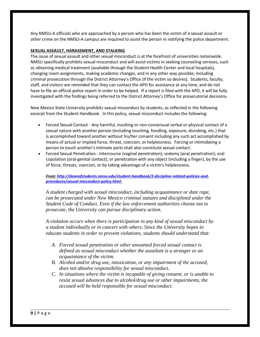Any NMSU-A officials who are approached by a person who has been the victim of a sexual assault or other crime on the NMSU-A campus are required to assist the person in notifying the police department.

#### **SEXUAL ASSAULT, HARASSMENT, AND STALKING**

The issue of sexual assault and other sexual misconduct is at the forefront of universities nationwide. NMSU specifically prohibits sexual misconduct and will assist victims in seeking counseling services, such as obtaining medical treatment (available through the Student Health Center and local hospitals), changing room assignments, making academic changes, and in any other way possible, including criminal prosecution through the District Attorney's Office (if the victim so desires). Students, faculty, staff, and visitors are reminded that they can contact the APD for assistance at any time, and do not have to file an official police report in order to be helped. If a report is filed with the APD, it will be fully investigated with the findings being referred to the District Attorney's Office for prosecutorial decisions.

New Mexico State University prohibits sexual misconduct by students, as reflected in the following excerpt from the Student Handbook. In this policy, sexual misconduct includes the following:

- Forced Sexual Contact Any harmful, insulting or non-consensual verbal or physical contact of a sexual nature with another person (including touching, fondling, exposure, disrobing, etc.) that is accomplished toward another without his/her consent including any such act accomplished by means of actual or implied force, threat, coercion, or helplessness. Forcing or intimidating a person to touch another's intimate parts shall also constitute sexual contact.
- Forced Sexual Penetration Intercourse (vaginal penetration); sodomy (anal penetration); oral copulation (oral-genital contact); or penetration with any object (including a finger), by the use of force, threats, coercion, or by taking advantage of a victim's helplessness.

*From[: http://deanofstudents.nmsu.edu/student-handbook/2-discipline-related-policies-and](http://deanofstudents.nmsu.edu/student-handbook/2-discipline-related-policies-and-procedures/sexual-misconduct-policy.html)[procedures/sexual-misconduct-policy.html:](http://deanofstudents.nmsu.edu/student-handbook/2-discipline-related-policies-and-procedures/sexual-misconduct-policy.html)*

*A student charged with sexual misconduct, including acquaintance or date rape, can be prosecuted under New Mexico criminal statutes and disciplined under the Student Code of Conduct. Even if the law enforcement authorities choose not to prosecute, the University can pursue disciplinary action.*

*A violation occurs when there is participation in any kind of sexual misconduct by a student individually or in concert with others. Since the University hopes to educate students in order to prevent violations, students should understand that:*

- *A. Forced sexual penetration or other unwanted forced sexual contact is defined as sexual misconduct whether the assailant is a stranger or an acquaintance of the victim.*
- *B. Alcohol and/or drug use, intoxication, or any impairment of the accused, does not absolve responsibility for sexual misconduct.*
- *C. In situations where the victim is incapable of giving consent, or is unable to resist sexual advances due to alcohol/drug use or other impairments, the accused will be held responsible for sexual misconduct.*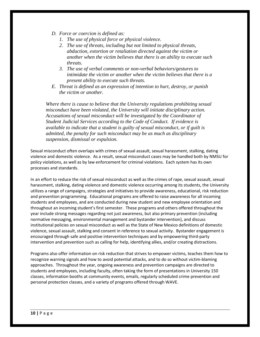- *D. Force or coercion is defined as:* 
	- *1. The use of physical force or physical violence.*
	- *2. The use of threats, including but not limited to physical threats, abduction, extortion or retaliation directed against the victim or another when the victim believes that there is an ability to execute such threats.*
	- *3. The use of verbal comments or non-verbal behaviors/gestures to intimidate the victim or another when the victim believes that there is a present ability to execute such threats.*
- *E. Threat is defined as an expression of intention to hurt, destroy, or punish the victim or another.*

*Where there is cause to believe that the University regulations prohibiting sexual misconduct have been violated, the University will initiate disciplinary action. Accusations of sexual misconduct will be investigated by the Coordinator of Student Judicial Services according to the Code of Conduct. If evidence is available to indicate that a student is guilty of sexual misconduct, or if guilt is admitted, the penalty for such misconduct may be as much as disciplinary suspension, dismissal or expulsion.*

Sexual misconduct often overlaps with crimes of sexual assault, sexual harassment, stalking, dating violence and domestic violence. As a result, sexual misconduct cases may be handled both by NMSU for policy violations, as well as by law enforcement for criminal violations. Each system has its own processes and standards.

In an effort to reduce the risk of sexual misconduct as well as the crimes of rape, sexual assault, sexual harassment, stalking, dating violence and domestic violence occurring among its students, the University utilizes a range of campaigns, strategies and initiatives to provide awareness, educational, risk reduction and prevention programming. Educational programs are offered to raise awareness for all incoming students and employees, and are conducted during new student and new employee orientation and throughout an incoming student's first semester. These programs and others offered throughout the year include strong messages regarding not just awareness, but also primary prevention (including normative messaging, environmental management and bystander intervention), and discuss institutional policies on sexual misconduct as well as the State of New Mexico definitions of domestic violence, sexual assault, stalking and consent in reference to sexual activity. Bystander engagement is encouraged through safe and positive intervention techniques and by empowering third-party intervention and prevention such as calling for help, identifying allies, and/or creating distractions.

Programs also offer information on risk reduction that strives to empower victims, teaches them how to recognize warning signals and how to avoid potential attacks, and to do so without victim-blaming approaches. Throughout the year, ongoing awareness and prevention campaigns are directed to students and employees, including faculty, often taking the form of presentations in University 150 classes, information booths at community events, emails, regularly scheduled crime prevention and personal protection classes, and a variety of programs offered through WAVE.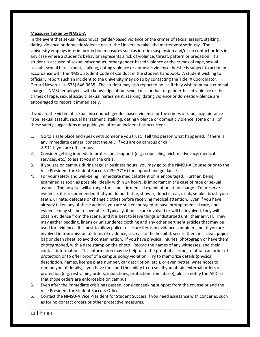#### **Measures Taken by NMSU-A**

In the event that sexual misconduct, gender-based violence or the crimes of sexual assault, stalking, dating violence or domestic violence occur, the University takes the matter very seriously. The University employs interim protection measures such as interim suspension and/or no contact orders in any case where a student's behavior represents a risk of violence, threat, pattern or predation. If a student is accused of sexual misconduct, other gender-based violence or the crimes of rape, sexual assault, sexual harassment, stalking, dating violence or domestic violence, he/she is subject to action in accordance with the NMSU Student Code of Conduct in the student handbook. A student wishing to officially report such an incident to the university may do so by contacting the Title IX Coordinator, Gerard Nevarez at (575) 646-3635. The student may also report to police if they wish to pursue criminal charges. NMSU employees with knowledge about sexual misconduct or gender-based violence or the crimes of rape, sexual assault, sexual harassment, stalking, dating violence or domestic violence are encouraged to report it immediately.

If you are the victim of sexual misconduct, gender-based violence or the crimes of rape, acquaintance rape, sexual assault, sexual harassment, stalking, dating violence or domestic violence, some or all of these safety suggestions may guide you after an incident has occurred:

- 1. Go to a safe place and speak with someone you trust. Tell this person what happened. If there is any immediate danger, contact the APD if you are on campus or call 8-911 if you are off campus.
- 2. Consider getting immediate professional support (e.g.: counseling, victim advocacy, medical services, etc.) to assist you in the crisis.
- 3. If you are on campus during regular business hours, you may go to the NMSU-A Counselor or to the Vice President for Student Success (439-3716) for support and guidance.
- 4. For your safety and well-being, immediate medical attention is encouraged. Further, being examined as soon as possible, ideally within 24 hours, is important in the case of rape or sexual assault. The hospital will arrange for a specific medical examination at no charge. To preserve evidence, it is recommended that you do not bathe, shower, douche, eat, drink, smoke, brush your teeth, urinate, defecate or change clothes before receiving medical attention. Even if you have already taken any of these actions, you are still encouraged to have prompt medical care, and evidence may still be recoverable. Typically, if police are involved or will be involved, they will obtain evidence from the scene, and it is best to leave things undisturbed until their arrival. They may gather bedding, linens or unlaundered clothing and any other pertinent articles that may be used for evidence. It is best to allow police to secure items in evidence containers, but if you are involved in transmission of items of evidence, such as to the hospital, secure them in a clean **paper** bag or clean sheet, to avoid contamination. If you have physical injuries, photograph or have them photographed, with a date stamp on the photo. Record the names of any witnesses, and their contact information. This information may be helpful to the proof of a crime, to obtain an order of protection or to offer proof of a campus policy violation. Try to memorize details (physical description, names, license plate number, car description, etc.), or even better, write notes to remind you of details, if you have time and the ability to do so. If you obtain external orders of protection (e.g. restraining orders, injunctions, protection from abuse), please notify the APD so that those orders are enforceable on campus.
- 5. Even after the immediate crisis has passed, consider seeking support from the counselor and the Vice President for Student Success Office.
- 6. Contact the NMSU-A Vice President for Student Success if you need assistance with concerns, such as for no-contact orders or other protective measures.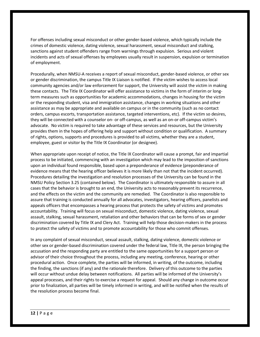For offenses including sexual misconduct or other gender-based violence, which typically include the crimes of domestic violence, dating violence, sexual harassment, sexual misconduct and stalking, sanctions against student offenders range from warnings through expulsion. Serious and violent incidents and acts of sexual offenses by employees usually result in suspension, expulsion or termination of employment.

Procedurally, when NMSU-A receives a report of sexual misconduct, gender-based violence, or other sex or gender discrimination, the campus Title IX Liaison is notified. If the victim wishes to access local community agencies and/or law enforcement for support, the University will assist the victim in making these contacts. The Title IX Coordinator will offer assistance to victims in the form of interim or longterm measures such as opportunities for academic accommodations, changes in housing for the victim or the responding student, visa and immigration assistance, changes in working situations and other assistance as may be appropriate and available on campus or in the community (such as no contact orders, campus escorts, transportation assistance, targeted interventions, etc). If the victim so desires, they will be connected with a counselor on- or off-campus, as well as an on-or off-campus victim's advocate. No victim is required to take advantage of these services and resources, but the University provides them in the hopes of offering help and support without condition or qualification. A summary of rights, options, supports and procedures is provided to all victims, whether they are a student, employee, guest or visitor by the Title IX Coordinator (or designee).

When appropriate upon receipt of notice, the Title IX Coordinator will cause a prompt, fair and impartial process to be initiated, commencing with an investigation which may lead to the imposition of sanctions upon an individual found responsible, based upon a preponderance of evidence (preponderance of evidence means that the hearing officer believes it is more likely than not that the incident occurred). Procedures detailing the investigation and resolution processes of the University can be found in the NMSU Policy Section 3.25 (contained below). The Coordinator is ultimately responsible to assure in all cases that the behavior is brought to an end, the University acts to reasonably prevent its recurrence, and the effects on the victim and the community are remedied. The Coordinator is also responsible to assure that training is conducted annually for all advocates, investigators, hearing officers, panelists and appeals officers that encompasses a hearing process that protects the safety of victims and promotes accountability. Training will focus on sexual misconduct, domestic violence, dating violence, sexual assault, stalking, sexual harassment, retaliation and other behaviors that can be forms of sex or gender discrimination covered by Title IX and Clery Act. Training will help those decision-makers in the process to protect the safety of victims and to promote accountability for those who commit offenses.

In any complaint of sexual misconduct, sexual assault, stalking, dating violence, domestic violence or other sex or gender-based discrimination covered under the federal law, Title IX, the person bringing the accusation and the responding party are entitled to the same opportunities for a support person or advisor of their choice throughout the process, including any meeting, conference, hearing or other procedural action. Once complete, the parties will be informed, in writing, of the outcome, including the finding, the sanctions (if any) and the rationale therefore. Delivery of this outcome to the parties will occur without undue delay between notifications. All parties will be informed of the University's appeal processes, and their rights to exercise a request for appeal. Should any change in outcome occur prior to finalization, all parties will be timely informed in writing, and will be notified when the results of the resolution process become final.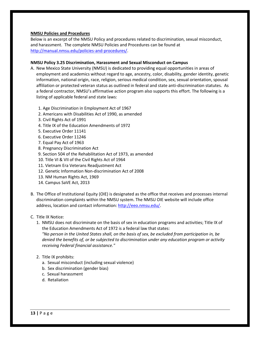#### **NMSU Policies and Procedures**

Below is an excerpt of the NMSU Policy and procedures related to discrimination, sexual misconduct, and harassment. The complete NMSU Policies and Procedures can be found at [http://manual.nmsu.edu/policies-and-procedures/.](http://manual.nmsu.edu/policies-and-procedures/)

#### **NMSU Policy 3.25 Discrimination, Harassment and Sexual Misconduct on Campus**

- A. New Mexico State University (NMSU) is dedicated to providing equal opportunities in areas of employment and academics without regard to age, ancestry, color, disability, gender identity, genetic information, national origin, race, religion, serious medical condition, sex, sexual orientation, spousal affiliation or protected veteran status as outlined in federal and state anti-discrimination statutes. As a federal contractor, NMSU's affirmative action program also supports this effort. The following is a listing of applicable federal and state laws:
	- 1. Age Discrimination in Employment Act of 1967
	- 2. Americans with Disabilities Act of 1990, as amended
	- 3. Civil Rights Act of 1991
	- 4. Title IX of the Education Amendments of 1972
	- 5. Executive Order 11141
	- 6. Executive Order 11246
	- 7. Equal Pay Act of 1963
	- 8. Pregnancy Discrimination Act
	- 9. Section 504 of the Rehabilitation Act of 1973, as amended
	- 10. Title VI & VII of the Civil Rights Act of 1964
	- 11. Vietnam Era Veterans Readjustment Act
	- 12. Genetic Information Non-discrimination Act of 2008
	- 13. NM Human Rights Act, 1969
	- 14. Campus SaVE Act, 2013
- B. The Office of Institutional Equity (OIE) is designated as the office that receives and processes internal discrimination complaints within the NMSU system. The NMSU OIE website will include office address, location and contact information: [http://eeo.nmsu.edu/.](http://eeo.nmsu.edu/)
- C. Title IX Notice:
	- 1. NMSU does not discriminate on the basis of sex in education programs and activities; Title IX of the Education Amendments Act of 1972 is a federal law that states:

*"No person in the United States shall, on the basis of sex, be excluded from participation in, be denied the benefits of, or be subjected to discrimination under any education program or activity receiving Federal financial assistance."* 

- 2. Title IX prohibits:
	- a. Sexual misconduct (including sexual violence)
	- b. Sex discrimination (gender bias)
	- c. Sexual harassment
	- d. Retaliation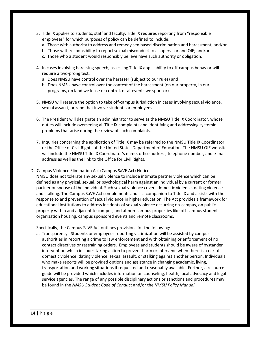- 3. Title IX applies to students, staff and faculty. Title IX requires reporting from "responsible employees" for which purposes of policy can be defined to include:
	- a. Those with authority to address and remedy sex-based discrimination and harassment; and/or
	- b. Those with responsibility to report sexual misconduct to a supervisor and OIE; and/or
	- c. Those who a student would responsibly believe have such authority or obligation.
- 4. In cases involving harassing speech, assessing Title IX applicability to off-campus behavior will require a two-prong test:
	- a. Does NMSU have control over the harasser (subject to our rules) and
	- b. Does NMSU have control over the context of the harassment (on our property, in our programs, on land we lease or control, or at events we sponsor)
- 5. NMSU will reserve the option to take off-campus jurisdiction in cases involving sexual violence, sexual assault, or rape that involve students or employees.
- 6. The President will designate an administrator to serve as the NMSU Title IX Coordinator, whose duties will include overseeing all Title IX complaints and identifying and addressing systemic problems that arise during the review of such complaints.
- 7. Inquiries concerning the application of Title IX may be referred to the NMSU Title IX Coordinator or the Office of Civil Rights of the United States Department of Education. The NMSU OIE website will include the NMSU Title IX Coordinator's name, office address, telephone number, and e-mail address as well as the link to the Office for Civil Rights.
- D. Campus Violence Elimination Act (Campus SaVE Act) Notice:

NMSU does not tolerate any sexual violence to include intimate partner violence which can be defined as any physical, sexual, or psychological harm against an individual by a current or former partner or spouse of the individual. Such sexual violence covers domestic violence, dating violence and stalking. The Campus SaVE Act complements and is a companion to Title IX and assists with the response to and prevention of sexual violence in higher education. The Act provides a framework for educational institutions to address incidents of sexual violence occurring on-campus, on public property within and adjacent to campus, and at non-campus properties like off-campus student organization housing, campus sponsored events and remote classrooms.

Specifically, the Campus SaVE Act outlines provisions for the following:

a. Transparency: Students or employees reporting victimization will be assisted by campus authorities in reporting a crime to law enforcement and with obtaining or enforcement of no contact directives or restraining orders. Employees and students should be aware of bystander intervention which includes taking action to prevent harm or intervene when there is a risk of domestic violence, dating violence, sexual assault, or stalking against another person. Individuals who make reports will be provided options and assistance in changing academic, living, transportation and working situations if requested and reasonably available. Further, a resource guide will be provided which includes information on counseling, health, local advocacy and legal service agencies. The range of any possible disciplinary actions or sanctions and procedures may be found in the *NMSU Student Code of Conduct* and/or the *NMSU Policy Manual*.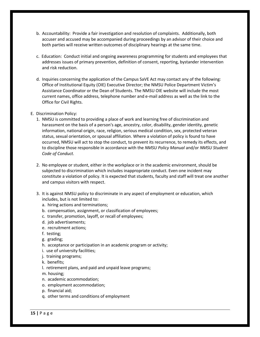- b. Accountability: Provide a fair investigation and resolution of complaints. Additionally, both accuser and accused may be accompanied during proceedings by an advisor of their choice and both parties will receive written outcomes of disciplinary hearings at the same time.
- c. Education: Conduct initial and ongoing awareness programming for students and employees that addresses issues of primary prevention, definition of consent, reporting, bystander intervention and risk reduction.
- d. Inquiries concerning the application of the Campus SaVE Act may contact any of the following: Office of Institutional Equity (OIE) Executive Director; the NMSU Police Department Victim's Assistance Coordinator or the Dean of Students. The NMSU OIE website will include the most current names, office address, telephone number and e-mail address as well as the link to the Office for Civil Rights.

#### E. Discrimination Policy:

- 1. NMSU is committed to providing a place of work and learning free of discrimination and harassment on the basis of a person's age, ancestry, color, disability, gender identity, genetic information, national origin, race, religion, serious medical condition, sex, protected veteran status, sexual orientation, or spousal affiliation. Where a violation of policy is found to have occurred, NMSU will act to stop the conduct, to prevent its recurrence, to remedy its effects, and to discipline those responsible in accordance with the *NMSU Policy Manual* and/or *NMSU Student Code of Conduct.*
- 2. No employee or student, either in the workplace or in the academic environment, should be subjected to discrimination which includes inappropriate conduct. Even one incident may constitute a violation of policy. It is expected that students, faculty and staff will treat one another and campus visitors with respect.
- 3. It is against NMSU policy to discriminate in any aspect of employment or education, which includes, but is not limited to:
	- a. hiring actions and terminations;
	- b. compensation, assignment, or classification of employees;
	- c. transfer, promotion, layoff, or recall of employees;
	- d. job advertisements;
	- e. recruitment actions;
	- f. testing;
	- g. grading;
	- h. acceptance or participation in an academic program or activity;
	- i. use of university facilities;
	- j. training programs;
	- k. benefits;
	- l. retirement plans, and paid and unpaid leave programs;
	- m. housing;
	- n. academic accommodation;
	- o. employment accommodation;
	- p. financial aid;
	- q. other terms and conditions of employment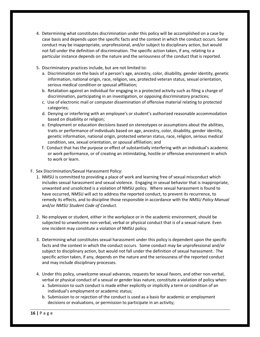- 4. Determining what constitutes discrimination under this policy will be accomplished on a case by case basis and depends upon the specific facts and the context in which the conduct occurs. Some conduct may be inappropriate, unprofessional, and/or subject to disciplinary action, but would not fall under the definition of discrimination. The specific action taken, if any, relating to a particular instance depends on the nature and the seriousness of the conduct that is reported.
- 5. Discriminatory practices include, but are not limited to:
	- a. Discrimination on the basis of a person's age, ancestry, color, disability, gender identity, genetic information, national origin, race, religion, sex, protected veteran status, sexual orientation, serious medical condition or spousal affiliation;
	- b. Retaliation against an individual for engaging in a protected activity such as filing a charge of discrimination, participating in an investigation, or opposing discriminatory practices;
	- c. Use of electronic mail or computer dissemination of offensive material relating to protected categories;
	- d. Denying or interfering with an employee's or student's authorized reasonable accommodation based on disability or religion;
	- e. Employment or education decisions based on stereotypes or assumptions about the abilities, traits or performance of individuals based on age, ancestry, color, disability, gender identity, genetic information, national origin, protected veteran status, race, religion, serious medical condition, sex, sexual orientation, or spousal affiliation; and
	- f. Conduct that has the purpose or effect of substantially interfering with an individual's academic or work performance, or of creating an intimidating, hostile or offensive environment in which to work or learn.
- F. Sex Discrimination/Sexual Harassment Policy:
	- 1. NMSU is committed to providing a place of work and learning free of sexual misconduct which includes sexual harassment and sexual violence. Engaging in sexual behavior that is inappropriate, unwanted and unsolicited is a violation of NMSU policy. Where sexual harassment is found to have occurred, NMSU will act to address the reported conduct, to prevent its recurrence, to remedy its effects, and to discipline those responsible in accordance with the *NMSU Policy Manual*  and/or *NMSU Student Code of Conduct.*
	- 2. No employee or student, either in the workplace or in the academic environment, should be subjected to unwelcome non-verbal, verbal or physical conduct that is of a sexual nature. Even one incident may constitute a violation of NMSU policy.
	- 3. Determining what constitutes sexual harassment under this policy is dependent upon the specific facts and the context in which the conduct occurs. Some conduct may be unprofessional and/or subject to disciplinary action, but would not fall under the definition of sexual harassment. The specific action taken, if any, depends on the nature and the seriousness of the reported conduct and may include disciplinary processes.
	- 4. Under this policy, unwelcome sexual advances, requests for sexual favors, and other non-verbal, verbal or physical conduct of a sexual or gender bias nature, constitute a violation of policy when:
		- a. Submission to such conduct is made either explicitly or implicitly a term or condition of an individual's employment or academic status;
		- b. Submission to or rejection of the conduct is used as a basis for academic or employment decisions or evaluations, or permission to participate in an activity;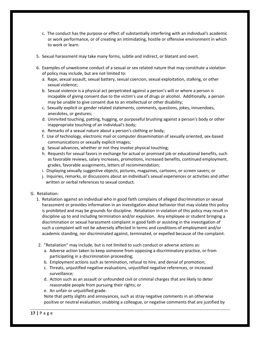- c. The conduct has the purpose or effect of substantially interfering with an individual's academic or work performance, or of creating an intimidating, hostile or offensive environment in which to work or learn.
- 5. Sexual harassment may take many forms, subtle and indirect, or blatant and overt.
- 6. Examples of unwelcome conduct of a sexual or sex related nature that may constitute a violation of policy may include, but are not limited to:
	- a. Rape, sexual assault, sexual battery, sexual coercion, sexual exploitation, stalking, or other sexual violence;
	- b. Sexual violence is a physical act perpetrated against a person's will or where a person is incapable of giving consent due to the victim's use of drugs or alcohol. Additionally, a person may be unable to give consent due to an intellectual or other disability;
	- c. Sexually explicit or gender related statements, comments, questions, jokes, innuendoes, anecdotes, or gestures;
	- d. Uninvited touching, patting, hugging, or purposeful brushing against a person's body or other inappropriate touching of an individual's body;
	- e. Remarks of a sexual nature about a person's clothing or body;
	- f. Use of technology, electronic mail or computer dissemination of sexually oriented, sex-based communications or sexually explicit images;
	- g. Sexual advances, whether or not they involve physical touching;
	- h. Requests for sexual favors in exchange for actual or promised job or educational benefits, such as favorable reviews, salary increases, promotions, increased benefits, continued employment, grades, favorable assignments, letters of recommendation;
	- i. Displaying sexually suggestive objects, pictures, magazines, cartoons, or screen savers; or
	- j. Inquiries, remarks, or discussions about an individual's sexual experiences or activities and other written or verbal references to sexual conduct.
- G. Retaliation:
	- 1. Retaliation against an individual who in good faith complains of alleged discrimination or sexual harassment or provides information in an investigation about behavior that may violate this policy is prohibited and may be grounds for discipline. Retaliation in violation of this policy may result in discipline up to and including termination and/or expulsion. Any employee or student bringing a discrimination or sexual harassment complaint in good faith or assisting in the investigation of such a complaint will not be adversely affected in terms and conditions of employment and/or academic standing, nor discriminated against, terminated, or expelled because of the complaint.
	- 2. "Retaliation" may include, but is not limited to such conduct or adverse actions as:
		- a. Adverse action taken to keep someone from opposing a discriminatory practice, or from participating in a discrimination proceeding;
		- b. Employment actions such as termination, refusal to hire, and denial of promotion;
		- c. Threats, unjustified negative evaluations, unjustified negative references, or increased surveillance;
		- d. Action such as an assault or unfounded civil or criminal charges that are likely to deter reasonable people from pursuing their rights; or
		- e. An unfair or unjustified grade.

Note that petty slights and annoyances, such as stray negative comments in an otherwise positive or neutral evaluation, snubbing a colleague, or negative comments that are justified by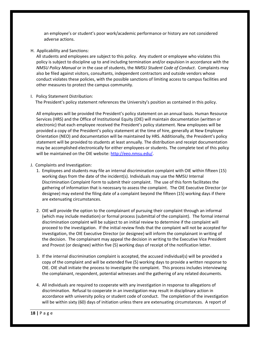an employee's or student's poor work/academic performance or history are not considered adverse actions.

H. Applicability and Sanctions:

All students and employees are subject to this policy. Any student or employee who violates this policy is subject to discipline up to and including termination and/or expulsion in accordance with the *NMSU Policy Manual* or in the case of students, the *NMSU Student Code of Conduct*. Complaints may also be filed against visitors, consultants, independent contractors and outside vendors whose conduct violates these policies, with the possible sanctions of limiting access to campus facilities and other measures to protect the campus community.

I. Policy Statement Distribution:

The President's policy statement references the University's position as contained in this policy.

All employees will be provided the President's policy statement on an annual basis. Human Resource Services (HRS) and the Office of Institutional Equity (OIE) will maintain documentation (written or electronic) that each employee received the President's policy statement. New employees will be provided a copy of the President's policy statement at the time of hire, generally at New Employee Orientation (NEO) and documentation will be maintained by HRS. Additionally, the President's policy statement will be provided to students at least annually. The distribution and receipt documentation may be accomplished electronically for either employees or students. The complete text of this policy will be maintained on the OIE website[: http://eeo.nmsu.edu/.](http://eeo.nmsu.edu/)

- J. Complaints and Investigation:
	- 1. Employees and students may file an internal discrimination complaint with OIE within fifteen (15) working days from the date of the incident(s). Individuals may use the NMSU Internal Discrimination Complaint Form to submit their complaint. The use of this form facilitates the gathering of information that is necessary to assess the complaint. The OIE Executive Director (or designee) may extend the filing date of a complaint beyond the fifteen (15) working days if there are extenuating circumstances.
	- 2. OIE will provide the option to the complainant of pursuing their complaint through an informal (which may include mediation) or formal process (submittal of the complaint). The formal internal discrimination complaint will be subject to an initial review to determine if the complaint will proceed to the investigation. If the initial review finds that the complaint will not be accepted for investigation, the OIE Executive Director (or designee) will inform the complainant in writing of the decision. The complainant may appeal the decision in writing to the Executive Vice President and Provost (or designee) within five (5) working days of receipt of the notification letter.
	- 3. If the internal discrimination complaint is accepted, the accused individual(s) will be provided a copy of the complaint and will be extended five (5) working days to provide a written response to OIE. OIE shall initiate the process to investigate the complaint. This process includes interviewing the complainant, respondent, potential witnesses and the gathering of any related documents.
	- 4. All individuals are required to cooperate with any investigation in response to allegations of discrimination. Refusal to cooperate in an investigation may result in disciplinary action in accordance with university policy or student code of conduct. The completion of the investigation will be within sixty (60) days of initiation unless there are extenuating circumstances. A report of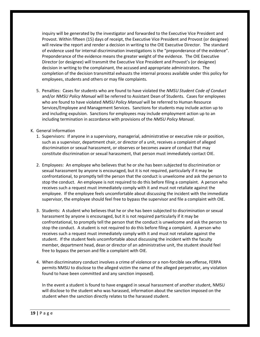inquiry will be generated by the investigator and forwarded to the Executive Vice President and Provost. Within fifteen (15) days of receipt, the Executive Vice President and Provost (or designee) will review the report and render a decision in writing to the OIE Executive Director. The standard of evidence used for internal discrimination investigations is the "preponderance of the evidence". Preponderance of the evidence means the greater weight of the evidence. The OIE Executive Director (or designee) will transmit the Executive Vice President and Provost's (or designee) decision in writing to the complainant, the accused and appropriate administrators. The completion of the decision transmittal exhausts the internal process available under this policy for employees, students and others or may file complaints.

5. Penalties: Cases for students who are found to have violated the *NMSU Student Code of Conduct*  and/or *NMSU Policy Manual* will be referred to Assistant Dean of Students. Cases for employees who are found to have violated *NMSU Policy Manual* will be referred to Human Resource Services/Employee and Management Services. Sanctions for students may include action up to and including expulsion. Sanctions for employees may include employment action up to an including termination in accordance with provisions of the *NMSU Policy Manual*.

#### K. General Information

- 1. Supervisors: If anyone in a supervisory, managerial, administrative or executive role or position, such as a supervisor, department chair, or director of a unit, receives a complaint of alleged discrimination or sexual harassment, or observes or becomes aware of conduct that may constitute discrimination or sexual harassment, that person must immediately contact OIE.
- 2. Employees: An employee who believes that he or she has been subjected to discrimination or sexual harassment by anyone is encouraged, but it is not required, particularly if it may be confrontational, to promptly tell the person that the conduct is unwelcome and ask the person to stop the conduct. An employee is not required to do this before filing a complaint. A person who receives such a request must immediately comply with it and must not retaliate against the employee. If the employee feels uncomfortable about discussing the incident with the immediate supervisor, the employee should feel free to bypass the supervisor and file a complaint with OIE.
- 3. Students: A student who believes that he or she has been subjected to discrimination or sexual harassment by anyone is encouraged, but it is not required particularly if it may be confrontational, to promptly tell the person that the conduct is unwelcome and ask the person to stop the conduct. A student is not required to do this before filing a complaint. A person who receives such a request must immediately comply with it and must not retaliate against the student. If the student feels uncomfortable about discussing the incident with the faculty member, department head, dean or director of an administrative unit, the student should feel free to bypass the person and file a complaint with OIE.
- 4. When discriminatory conduct involves a crime of violence or a non-forcible sex offense, FERPA permits NMSU to disclose to the alleged victim the name of the alleged perpetrator, any violation found to have been committed and any sanction imposed).

In the event a student is found to have engaged in sexual harassment of another student, NMSU will disclose to the student who was harassed, information about the sanction imposed on the student when the sanction directly relates to the harassed student.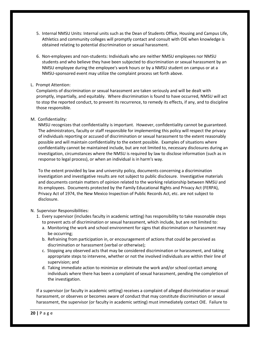- 5. Internal NMSU Units: Internal units such as the Dean of Students Office, Housing and Campus Life, Athletics and community colleges will promptly contact and consult with OIE when knowledge is obtained relating to potential discrimination or sexual harassment.
- 6. Non-employees and non-students: Individuals who are neither NMSU employees nor NMSU students and who believe they have been subjected to discrimination or sexual harassment by an NMSU employee during the employee's work hours or by a NMSU student on campus or at a NMSU-sponsored event may utilize the complaint process set forth above.

# L. Prompt Attention:

Complaints of discrimination or sexual harassment are taken seriously and will be dealt with promptly, impartially, and equitably. Where discrimination is found to have occurred, NMSU will act to stop the reported conduct, to prevent its recurrence, to remedy its effects, if any, and to discipline those responsible.

# M. Confidentiality:

NMSU recognizes that confidentiality is important. However, confidentiality cannot be guaranteed. The administrators, faculty or staff responsible for implementing this policy will respect the privacy of individuals reporting or accused of discrimination or sexual harassment to the extent reasonably possible and will maintain confidentiality to the extent possible. Examples of situations where confidentiality cannot be maintained include, but are not limited to, necessary disclosures during an investigation, circumstances where the NMSU is required by law to disclose information (such as in response to legal process), or when an individual is in harm's way.

To the extent provided by law and university policy, documents concerning a discrimination investigation and investigative results are not subject to public disclosure. Investigative materials and documents contain matters of opinion related to the working relationship between NMSU and its employees. Documents protected by the Family Educational Rights and Privacy Act (FERPA), Privacy Act of 1974, the New Mexico Inspection of Public Records Act, etc. are not subject to disclosure.

# N. Supervisor Responsibilities:

- 1. Every supervisor (includes faculty in academic setting) has responsibility to take reasonable steps to prevent acts of discrimination or sexual harassment, which include, but are not limited to:
	- a. Monitoring the work and school environment for signs that discrimination or harassment may be occurring;
	- b. Refraining from participation in, or encouragement of actions that could be perceived as discrimination or harassment (verbal or otherwise);
	- c. Stopping any observed acts that may be considered discrimination or harassment, and taking appropriate steps to intervene, whether or not the involved individuals are within their line of supervision; and
	- d. Taking immediate action to minimize or eliminate the work and/or school contact among individuals where there has been a complaint of sexual harassment, pending the completion of the investigation.

If a supervisor (or faculty in academic setting) receives a complaint of alleged discrimination or sexual harassment, or observes or becomes aware of conduct that may constitute discrimination or sexual harassment, the supervisor (or faculty in academic setting) must immediately contact OIE. Failure to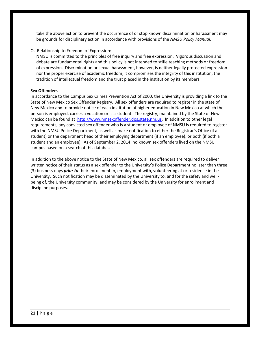take the above action to prevent the occurrence of or stop known discrimination or harassment may be grounds for disciplinary action in accordance with provisions of the *NMSU Policy Manual*.

O. Relationship to Freedom of Expression:

NMSU is committed to the principles of free inquiry and free expression. Vigorous discussion and debate are fundamental rights and this policy is not intended to stifle teaching methods or freedom of expression. Discrimination or sexual harassment, however, is neither legally protected expression nor the proper exercise of academic freedom; it compromises the integrity of this institution, the tradition of intellectual freedom and the trust placed in the institution by its members.

# **Sex Offenders**

In accordance to the Campus Sex Crimes Prevention Act of 2000, the University is providing a link to the State of New Mexico Sex Offender Registry. All sex offenders are required to register in the state of New Mexico and to provide notice of each institution of higher education in New Mexico at which the person is employed, carries a vocation or is a student. The registry, maintained by the State of New Mexico can be found at [http://www.nmsexoffender.dps.state.nm.us.](http://www.nmsexoffender.dps.state.nm.us/) In addition to other legal requirements, any convicted sex offender who is a student or employee of NMSU is required to register with the NMSU Police Department, as well as make notification to either the Registrar's Office (if a student) or the department head of their employing department (if an employee), or both (if both a student and an employee). As of September 2, 2014, no known sex offenders lived on the NMSU campus based on a search of this database.

In addition to the above notice to the State of New Mexico, all sex offenders are required to deliver written notice of their status as a sex offender to the University's Police Department no later than three (3) business days *prior to* their enrollment in, employment with, volunteering at or residence in the University. Such notification may be disseminated by the University to, and for the safety and wellbeing of, the University community, and may be considered by the University for enrollment and discipline purposes.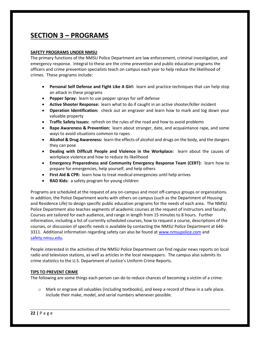# **SECTION 3 – PROGRAMS**

#### **SAFETY PROGRAMS UNDER NMSU**

The primary functions of the NMSU Police Department are law enforcement, criminal investigation, and emergency response. Integral to these are the crime prevention and public education programs the officers and crime prevention specialists teach on campus each year to help reduce the likelihood of crimes. These programs include:

- **Personal Self Defense and Fight Like A Girl:** learn and practice techniques that can help stop an attack in these programs
- **Pepper Spray:** learn to use pepper sprays for self defense
- **Active Shooter Response:** learn what to do if caught in an active shooter/killer incident
- **Operation Identification:** check out an engraver and learn how to mark and log down your valuable property
- **Traffic Safety Issues:** refresh on the rules of the road and how to avoid problems
- **Rape Awareness & Prevention:** learn about stranger, date, and acquaintance rape, and some ways to avoid situations common to rapes
- **Alcohol & Drug Awareness:** learn the effects of alcohol and drugs on the body, and the dangers they can pose
- **Dealing with Difficult People and Violence in the Workplace:** learn about the causes of workplace violence and how to reduce its likelihood
- **Emergency Preparedness and Community Emergency Response Team (CERT):** learn how to prepare for emergencies, help yourself, and help others
- **First Aid & CPR:** learn how to treat medical emergencies until help arrives
- **RAD Kids:** a safety program for young children

Programs are scheduled at the request of any on-campus and most off-campus groups or organizations. In addition, the Police Department works with others on campus (such as the Department of Housing and Residence Life) to design specific public education programs for the needs of each area. The NMSU Police Department also teaches segments of academic courses at the request of instructors and faculty. Courses are tailored for each audience, and range in length from 15 minutes to 8 hours. Further information, including a list of currently scheduled courses, how to request a course, descriptions of the courses, or discussion of specific needs is available by contacting the NMSU Police Department at 646- 3311. Additional information regarding safety can also be found at [www.nmsupolice.com](http://www.nmsupolice.com/) and [safety.nmsu.edu.](http://www.safety.nmsu.edu/)

People interested in the activities of the NMSU Police Department can find regular news reports on local radio and television stations, as well as articles in the local newspapers. The campus also submits its crime statistics to the U.S. Department of Justice's Uniform Crime Reports.

# **TIPS TO PREVENT CRIME**

The following are some things each person can do to reduce chances of becoming a victim of a crime:

o Mark or engrave all valuables (including textbooks), and keep a record of these in a safe place. Include their make, model, and serial numbers whenever possible.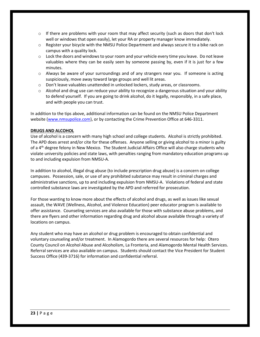- $\circ$  If there are problems with your room that may affect security (such as doors that don't lock well or windows that open easily), let your RA or property manager know immediately.
- $\circ$  Register your bicycle with the NMSU Police Department and always secure it to a bike rack on campus with a quality lock.
- $\circ$  Lock the doors and windows to your room and your vehicle every time you leave. Do not leave valuables where they can be easily seen by someone passing by, even if it is just for a few minutes.
- $\circ$  Always be aware of your surroundings and of any strangers near you. If someone is acting suspiciously, move away toward large groups and well lit areas.
- o Don't leave valuables unattended in unlocked lockers, study areas, or classrooms.
- $\circ$  Alcohol and drug use can reduce your ability to recognize a dangerous situation and your ability to defend yourself. If you are going to drink alcohol, do it legally, responsibly, in a safe place, and with people you can trust.

In addition to the tips above, additional information can be found on the NMSU Police Department website [\(www.nmsupolice.com\)](http://www.nmsupolice.com/), or by contacting the Crime Prevention Office at 646-3311.

#### **DRUGS AND ALCOHOL**

Use of alcohol is a concern with many high school and college students. Alcohol is strictly prohibited. The APD does arrest and/or cite for these offenses. Anyone selling or giving alcohol to a minor is guilty of a 4<sup>th</sup> degree felony in New Mexico. The Student Judicial Affairs Office will also charge students who violate university policies and state laws, with penalties ranging from mandatory education programs up to and including expulsion from NMSU-A.

In addition to alcohol, illegal drug abuse (to include prescription drug abuse) is a concern on college campuses. Possession, sale, or use of any prohibited substance may result in criminal charges and administrative sanctions, up to and including expulsion from NMSU-A. Violations of federal and state controlled substance laws are investigated by the APD and referred for prosecution.

For those wanting to know more about the effects of alcohol and drugs, as well as issues like sexual assault, the WAVE (Wellness, Alcohol, and Violence Education) peer educator program is available to offer assistance. Counseling services are also available for those with substance abuse problems, and there are flyers and other information regarding drug and alcohol abuse available through a variety of locations on campus.

Any student who may have an alcohol or drug problem is encouraged to obtain confidential and voluntary counseling and/or treatment. In Alamogordo there are several resources for help: Otero County Council on Alcohol Abuse and Alcoholism, La Fronteria, and Alamogordo Mental Health Services. Referral services are also available on campus. Students should contact the Vice President for Student Success Office (439-3716) for information and confidential referral.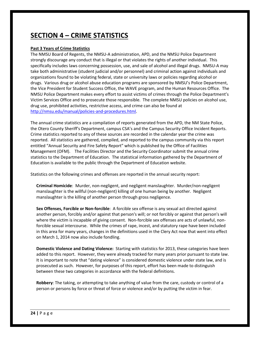# **SECTION 4 – CRIME STATISTICS**

# **Past 3 Years of Crime Statistics**

The NMSU Board of Regents, the NMSU-A administration, APD, and the NMSU Police Department strongly discourage any conduct that is illegal or that violates the rights of another individual. This specifically includes laws concerning possession, use, and sale of alcohol and illegal drugs. NMSU-A may take both administrative (student judicial and/or personnel) and criminal action against individuals and organizations found to be violating federal, state or university laws or policies regarding alcohol or drugs. Various drug or alcohol abuse education programs are sponsored by NMSU's Police Department, the Vice President for Student Success Office, the WAVE program, and the Human Resources Office. The NMSU Police Department makes every effort to assist victims of crimes through the Police Department's Victim Services Office and to prosecute those responsible. The complete NMSU policies on alcohol use, drug use, prohibited activities, restrictive access, and crime can also be found at [http://nmsu.edu/manual/policies-and-procedures.html.](http://nmsu.edu/manual/policies-and-procedures.html)

The annual crime statistics are a compilation of reports generated from the APD, the NM State Police, the Otero County Sheriff's Department, campus CSA's and the Campus Security Office Incident Reports. Crime statistics reported to any of these sources are recorded in the calendar year the crime was reported. All statistics are gathered, compiled, and reported to the campus community via this report entitled "Annual Security and Fire Safety Report" which is published by the Office of Facilities Management (OFM). The Facilities Director and the Security Coordinator submit the annual crime statistics to the Department of Education. The statistical information gathered by the Department of Education is available to the public through the Department of Education website.

Statistics on the following crimes and offenses are reported in the annual security report:

**Criminal Homicide**: Murder, non-negligent, and negligent manslaughter. Murder/non-negligent manslaughter is the willful (non-negligent) killing of one human being by another. Negligent manslaughter is the killing of another person through gross negligence.

**Sex Offenses, Forcible or Non-forcible**: A forcible sex offense is any sexual act directed against another person, forcibly and/or against that person's will; or not forcibly or against that person's will where the victim is incapable of giving consent. Non-forcible sex offenses are acts of unlawful, nonforcible sexual intercourse. While the crimes of rape, incest, and statutory rape have been included in this area for many years, changes in the definitions used in the Clery Act now that went into effect on March 1, 2014 now also include fondling.

**Domestic Violence and Dating Violence:** Starting with statistics for 2013, these categories have been added to this report. However, they were already tracked for many years prior pursuant to state law. It is important to note that "dating violence" is considered domestic violence under state law, and is prosecuted as such. However, for purposes of this report, effort has been made to distinguish between these two categories in accordance with the federal definitions.

**Robbery**: The taking, or attempting to take anything of value from the care, custody or control of a person or persons by force or threat of force or violence and/or by putting the victim in fear.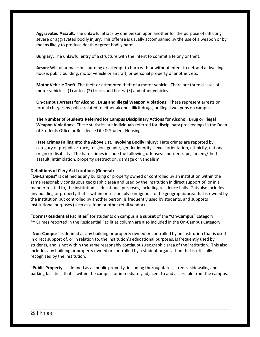**Aggravated Assault**: The unlawful attack by one person upon another for the purpose of inflicting severe or aggravated bodily injury. This offense is usually accompanied by the use of a weapon or by means likely to produce death or great bodily harm.

**Burglary**: The unlawful entry of a structure with the intent to commit a felony or theft.

**Arson**: Willful or malicious burning or attempt to burn with or without intent to defraud a dwelling house, public building, motor vehicle or aircraft, or personal property of another, etc.

**Motor Vehicle Theft**: The theft or attempted theft of a motor vehicle. There are three classes of motor vehicles: (1) autos, (2) trucks and buses, (3) and other vehicles.

**On-campus Arrests for Alcohol, Drug and Illegal Weapon Violations:** These represent arrests or formal charges by police related to either alcohol, illicit drugs, or illegal weapons on campus.

**The Number of Students Referred for Campus Disciplinary Actions for Alcohol, Drug or Illegal Weapon Violations:** These statistics are individuals referred for disciplinary proceedings in the Dean of Students Office or Residence Life & Student Housing.

**Hate Crimes Falling Into the Above List, Involving Bodily Injury:** Hate crimes are reported by category of prejudice: race, religion, gender, gender identity, sexual orientation, ethnicity, national origin or disability. The hate crimes include the following offenses: murder, rape, larceny/theft, assault, intimidation, property destruction, damage or vandalism.

#### **Definitions of Clery Act Locations (General)**

**"On-Campus"** is defined as any building or property owned or controlled by an institution within the same reasonably contiguous geographic area and used by the institution in direct support of, or in a manner related to, the institution's educational purposes, including residence halls. This also includes any building or property that is within or reasonably contiguous to the geographic area that is owned by the institution but controlled by another person, is frequently used by students, and supports institutional purposes (such as a food or other retail vendor).

**"Dorms/Residential Facilities"** for students on campus is a **subset** of the **"On-Campus"** category. \*\* Crimes reported in the Residential Facilities column are also included in the On-Campus Category.

**"Non-Campus"** is defined as any building or property owned or controlled by an institution that is used in direct support of, or in relation to, the institution's educational purposes, is frequently used by students, and is not within the same reasonably contiguous geographic area of the institution. This also includes any building or property owned or controlled by a student organization that is officially recognized by the institution.

**"Public Property"** is defined as all public property, including thoroughfares, streets, sidewalks, and parking facilities, that is within the campus, or immediately adjacent to and accessible from the campus.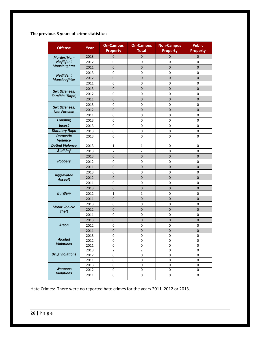**The previous 3 years of crime statistics:**

| <b>Offense</b>                     | Year         | <b>On-Campus</b><br><b>Property</b>  | <b>On-Campus</b><br><b>Total</b> | <b>Non-Campus</b><br><b>Property</b> | <b>Public</b><br><b>Property</b> |
|------------------------------------|--------------|--------------------------------------|----------------------------------|--------------------------------------|----------------------------------|
| Murder/Non-                        | 2013         | 0                                    | $\mathbf 0$                      | 0                                    | 0                                |
| <b>Negligent</b><br>Manslaughter   | 2012         | 0                                    | 0                                | $\mathbf 0$                          | $\mathbf 0$                      |
|                                    | 2011         | $\overline{0}$                       | $\overline{0}$                   | $\overline{0}$                       | $\overline{0}$                   |
|                                    | 2013         | $\overline{0}$                       | $\mathbf 0$                      | $\mathbf 0$                          | $\mathbf 0$                      |
| <b>Negligent</b><br>Manslaughter   | 2012         | $\mathbf 0$                          | $\mathbf 0$                      | $\mathbf{0}$                         | $\mathbf 0$                      |
|                                    | 2011         | $\overline{0}$                       | $\overline{0}$                   | $\mathbf 0$                          | $\mathbf 0$                      |
| Sex Offenses.                      | 2013         | $\mathbf 0$                          | $\mathbf 0$                      | $\mathbf 0$                          | $\overline{0}$                   |
| Forcible (Rape)                    | 2012         | $\boldsymbol{0}$                     | $\boldsymbol{0}$                 | $\mathbf 0$                          | $\mathbf 0$                      |
|                                    | 2011         | $\overline{0}$                       | $\overline{0}$                   | $\overline{0}$                       | $\overline{0}$                   |
| Sex Offenses,                      | 2013         | $\boldsymbol{0}$                     | $\mathbf 0$                      | $\mathbf 0$                          | $\overline{0}$                   |
| <b>Non-Forcible</b>                | 2012         | $\mathbf 0$                          | $\overline{0}$                   | $\overline{0}$                       | $\mathbf 0$                      |
|                                    | 2011         | 0                                    | 0                                | $\mathbf 0$                          | 0                                |
| <b>Fondling</b>                    | 2013         | 0                                    | 0                                | 0                                    | 0                                |
| <b>Incest</b>                      | 2013         | 0                                    | 0                                | 0                                    | 0                                |
| <b>Statutory Rape</b>              | 2013         | 0                                    | 0                                | $\mathbf 0$                          | 0                                |
| <b>Domestic</b><br><b>Violence</b> | 2013         | $\boldsymbol{0}$                     | $\mathbf 0$                      | $\mathbf 0$                          | $\pmb{0}$                        |
| <b>Dating Violence</b>             | 2013         | $\mathbf 1$                          | $\mathbf 1$                      | $\mathbf 0$                          | $\mathbf 0$                      |
| <b>Stalking</b>                    | 2013         | $\overline{2}$                       | $\overline{2}$                   | $\mathbf 0$                          | 0                                |
|                                    | 2013         | $\mathbf 0$                          | $\mathbf 0$                      | $\mathbf 0$                          | 0                                |
| <b>Robbery</b>                     | 2012         | 0                                    | 0                                | $\mathbf 0$                          | $\mathbf 0$                      |
|                                    | 2011         | $\overline{0}$                       | $\overline{0}$                   | $\overline{0}$                       | $\overline{0}$                   |
| Aggravated                         | 2013         | 0                                    | 0                                | $\mathbf 0$                          | $\mathbf 0$                      |
| <b>Assault</b>                     | 2012         | $\mathbf 0$                          | $\mathbf 0$                      | $\overline{0}$                       | $\mathbf 0$                      |
|                                    | 2011         | 0                                    | 0                                | $\mathbf 0$                          | 0                                |
|                                    | 2013         | $\mathbf 0$                          | $\overline{0}$                   | $\mathbf{0}$                         | 0                                |
| <b>Burglary</b>                    | 2012         | $\mathbf 1$                          | $\mathbf 1$                      | $\mathbf 0$                          | $\mathbf 0$                      |
|                                    | 2011         | $\overline{0}$                       | $\overline{0}$                   | $\overline{0}$                       | $\overline{0}$                   |
| <b>Motor Vehicle</b>               | 2013         | 0                                    | 0                                | $\mathbf 0$                          | $\mathbf 0$                      |
| <b>Theft</b>                       | 2012         | $\mathbf 0$                          | $\mathbf 0$                      | $\mathbf{0}$                         | $\mathbf 0$                      |
|                                    | 2011         | $\boldsymbol{0}$                     | $\boldsymbol{0}$                 | $\mathbf 0$                          | $\mathbf 0$                      |
|                                    | 2013         | $\mathbf 0$                          | $\mathbf 0$                      | $\mathbf 0$                          | $\mathbf 0$                      |
| <b>Arson</b>                       | 2012         | 0                                    | 0                                | $\mathbf 0$                          | $\mathbf 0$                      |
|                                    | 2011         | $\overline{0}$                       | $\overline{0}$                   | $\overline{0}$                       | $\overline{0}$                   |
| <b>Alcohol</b>                     | 2013         | 0                                    | $\boldsymbol{0}$                 | 0                                    | 0                                |
| <b>Violations</b>                  | 2012         | 0                                    | $\boldsymbol{0}$                 | $\mathbf 0$                          | 0                                |
|                                    | 2011         | 0                                    | 0                                | $\pmb{0}$                            | $\pmb{0}$                        |
| <b>Drug Violations</b>             | 2013<br>2012 | $\overline{\mathbf{c}}$<br>$\pmb{0}$ | $\mathbf 2$<br>0                 | $\pmb{0}$<br>$\boldsymbol{0}$        | $\pmb{0}$<br>$\boldsymbol{0}$    |
|                                    | 2011         | $\boldsymbol{0}$                     | 0                                | $\mathbf 0$                          | $\mathbf 0$                      |
|                                    | 2013         | $\boldsymbol{0}$                     | 0                                | $\pmb{0}$                            | $\mathbf 0$                      |
| Weapons                            | 2012         | $\pmb{0}$                            | 0                                | $\mathbf 0$                          | $\pmb{0}$                        |
| <b>Violations</b>                  | 2011         | $\pmb{0}$                            | 0                                | $\pmb{0}$                            | $\boldsymbol{0}$                 |

Hate Crimes: There were no reported hate crimes for the years 2011, 2012 or 2013.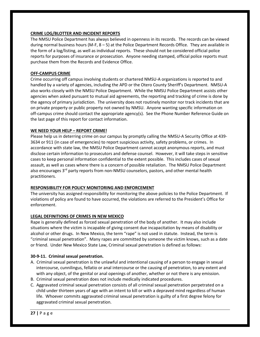# **CRIME LOG/BLOTTER AND INCIDENT REPORTS**

The NMSU Police Department has always believed in openness in its records. The records can be viewed during normal business hours (M-F, 8 – 5) at the Police Department Records Office. They are available in the form of a log/listing, as well as individual reports. These should not be considered official police reports for purposes of insurance or prosecution. Anyone needing stamped, official police reports must purchase them from the Records and Evidence Office.

# **OFF-CAMPUS CRIME**

Crime occurring off campus involving students or chartered NMSU-A organizations is reported to and handled by a variety of agencies, including the APD or the Otero County Sheriff's Department. NMSU-A also works closely with the NMSU Police Department. While the NMSU Police Department assists other agencies when asked pursuant to mutual aid agreements, the reporting and tracking of crime is done by the agency of primary jurisdiction. The university does not routinely monitor nor track incidents that are on private property or public property not owned by NMSU. Anyone wanting specific information on off-campus crime should contact the appropriate agency(s). See the Phone Number Reference Guide on the last page of this report for contact information.

# **WE NEED YOUR HELP – REPORT CRIME!**

Please help us in deterring crime on our campus by promptly calling the NMSU-A Security Office at 439- 3634 or 911 (in case of emergencies) to report suspicious activity, safety problems, or crimes. In accordance with state law, the NMSU Police Department cannot accept anonymous reports, and must disclose certain information to prosecutors and defense counsel. However, it will take steps in sensitive cases to keep personal information confidential to the extent possible. This includes cases of sexual assault, as well as cases where there is a concern of possible retaliation. The NMSU Police Department also encourages 3<sup>rd</sup> party reports from non-NMSU counselors, pastors, and other mental health practitioners.

# **RESPONSIBILITY FOR POLICY MONITORING AND ENFORCEMENT**

The university has assigned responsibility for monitoring the above policies to the Police Department. If violations of policy are found to have occurred, the violations are referred to the President's Office for enforcement.

# **LEGAL DEFINITIONS OF CRIMES IN NEW MEXICO**

Rape is generally defined as forced sexual penetration of the body of another. It may also include situations where the victim is incapable of giving consent due incapacitation by means of disability or alcohol or other drugs. In New Mexico, the term "rape" is not used in statute. Instead, the term is "criminal sexual penetration". Many rapes are committed by someone the victim knows, such as a date or friend. Under New Mexico State Law, Criminal sexual penetration is defined as follows:

# **30-9-11. Criminal sexual penetration.**

- A. Criminal sexual penetration is the unlawful and intentional causing of a person to engage in sexual intercourse, cunnilingus, fellatio or anal intercourse or the causing of penetration, to any extent and with any object, of the genital or anal openings of another, whether or not there is any emission.
- B. Criminal sexual penetration does not include medically indicated procedures.
- C. Aggravated criminal sexual penetration consists of all criminal sexual penetration perpetrated on a child under thirteen years of age with an intent to kill or with a depraved mind regardless of human life. Whoever commits aggravated criminal sexual penetration is guilty of a first degree felony for aggravated criminal sexual penetration.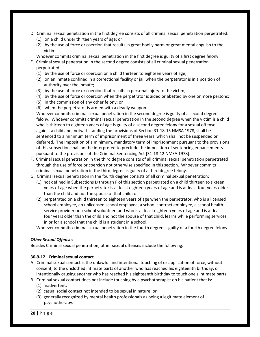- D. Criminal sexual penetration in the first degree consists of all criminal sexual penetration perpetrated:
	- (1) on a child under thirteen years of age; or
	- (2) by the use of force or coercion that results in great bodily harm or great mental anguish to the victim.

Whoever commits criminal sexual penetration in the first degree is guilty of a first degree felony.

- E. Criminal sexual penetration in the second degree consists of all criminal sexual penetration perpetrated:
	- (1) by the use of force or coercion on a child thirteen to eighteen years of age;
	- (2) on an inmate confined in a correctional facility or jail when the perpetrator is in a position of authority over the inmate;
	- (3) by the use of force or coercion that results in personal injury to the victim;
	- (4) by the use of force or coercion when the perpetrator is aided or abetted by one or more persons;
	- (5) in the commission of any other felony; or
	- (6) when the perpetrator is armed with a deadly weapon.

Whoever commits criminal sexual penetration in the second degree is guilty of a second degree felony. Whoever commits criminal sexual penetration in the second degree when the victim is a child who is thirteen to eighteen years of age is guilty of a second degree felony for a sexual offense against a child and, notwithstanding the provisions of Section 31-18-15 NMSA 1978, shall be sentenced to a minimum term of imprisonment of three years, which shall not be suspended or deferred. The imposition of a minimum, mandatory term of imprisonment pursuant to the provisions of this subsection shall not be interpreted to preclude the imposition of sentencing enhancements pursuant to the provisions of the Criminal Sentencing Act [31-18-12 NMSA 1978].

- F. Criminal sexual penetration in the third degree consists of all criminal sexual penetration perpetrated through the use of force or coercion not otherwise specified in this section. Whoever commits criminal sexual penetration in the third degree is guilty of a third degree felony.
- G. Criminal sexual penetration in the fourth degree consists of all criminal sexual penetration:
	- (1) not defined in Subsections D through F of this section perpetrated on a child thirteen to sixteen years of age when the perpetrator is at least eighteen years of age and is at least four years older than the child and not the spouse of that child; or
	- (2) perpetrated on a child thirteen to eighteen years of age when the perpetrator, who is a licensed school employee, an unlicensed school employee, a school contract employee, a school health service provider or a school volunteer, and who is at least eighteen years of age and is at least four years older than the child and not the spouse of that child, learns while performing services in or for a school that the child is a student in a school.

Whoever commits criminal sexual penetration in the fourth degree is guilty of a fourth degree felony.

# *Other Sexual Offenses*

Besides Criminal sexual penetration, other sexual offenses include the following:

# **30-9-12. Criminal sexual contact**.

- A. Criminal sexual contact is the unlawful and intentional touching of or application of force, without consent, to the unclothed intimate parts of another who has reached his eighteenth birthday, or intentionally causing another who has reached his eighteenth birthday to touch one's intimate parts.
- B. Criminal sexual contact does not include touching by a psychotherapist on his patient that is: (1) inadvertent;
	- (2) casual social contact not intended to be sexual in nature; or
	- (3) generally recognized by mental health professionals as being a legitimate element of psychotherapy.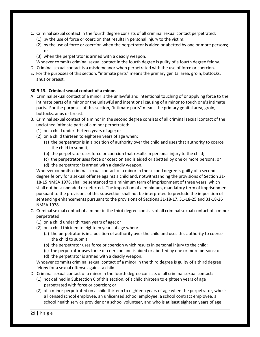- C. Criminal sexual contact in the fourth degree consists of all criminal sexual contact perpetrated:
	- (1) by the use of force or coercion that results in personal injury to the victim;
	- (2) by the use of force or coercion when the perpetrator is aided or abetted by one or more persons; or
	- (3) when the perpetrator is armed with a deadly weapon.
	- Whoever commits criminal sexual contact in the fourth degree is guilty of a fourth degree felony.
- D. Criminal sexual contact is a misdemeanor when perpetrated with the use of force or coercion.
- E. For the purposes of this section, "intimate parts" means the primary genital area, groin, buttocks, anus or breast.

# **30-9-13. Criminal sexual contact of a minor**.

- A. Criminal sexual contact of a minor is the unlawful and intentional touching of or applying force to the intimate parts of a minor or the unlawful and intentional causing of a minor to touch one's intimate parts. For the purposes of this section, "intimate parts" means the primary genital area, groin, buttocks, anus or breast.
- B. Criminal sexual contact of a minor in the second degree consists of all criminal sexual contact of the unclothed intimate parts of a minor perpetrated:
	- (1) on a child under thirteen years of age; or
	- (2) on a child thirteen to eighteen years of age when:
		- (a) the perpetrator is in a position of authority over the child and uses that authority to coerce the child to submit;
		- (b) the perpetrator uses force or coercion that results in personal injury to the child;
		- (c) the perpetrator uses force or coercion and is aided or abetted by one or more persons; or
		- (d) the perpetrator is armed with a deadly weapon.

Whoever commits criminal sexual contact of a minor in the second degree is guilty of a second degree felony for a sexual offense against a child and, notwithstanding the provisions of Section 31- 18-15 NMSA 1978, shall be sentenced to a minimum term of imprisonment of three years, which shall not be suspended or deferred. The imposition of a minimum, mandatory term of imprisonment pursuant to the provisions of this subsection shall not be interpreted to preclude the imposition of sentencing enhancements pursuant to the provisions of Sections 31-18-17, 31-18-25 and 31-18-26 NMSA 1978.

- C. Criminal sexual contact of a minor in the third degree consists of all criminal sexual contact of a minor perpetrated:
	- (1) on a child under thirteen years of age; or
	- (2) on a child thirteen to eighteen years of age when:
		- (a) the perpetrator is in a position of authority over the child and uses this authority to coerce the child to submit;
		- (b) the perpetrator uses force or coercion which results in personal injury to the child;
		- (c) the perpetrator uses force or coercion and is aided or abetted by one or more persons; or
		- (d) the perpetrator is armed with a deadly weapon.

Whoever commits criminal sexual contact of a minor in the third degree is guilty of a third degree felony for a sexual offense against a child.

- D. Criminal sexual contact of a minor in the fourth degree consists of all criminal sexual contact:
	- (1) not defined in Subsection C of this section, of a child thirteen to eighteen years of age perpetrated with force or coercion; or
	- (2) of a minor perpetrated on a child thirteen to eighteen years of age when the perpetrator, who is a licensed school employee, an unlicensed school employee, a school contract employee, a school health service provider or a school volunteer, and who is at least eighteen years of age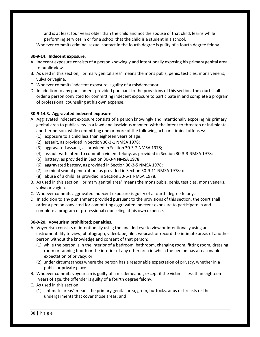and is at least four years older than the child and not the spouse of that child, learns while performing services in or for a school that the child is a student in a school.

Whoever commits criminal sexual contact in the fourth degree is guilty of a fourth degree felony.

# **30-9-14. Indecent exposure.**

- A. Indecent exposure consists of a person knowingly and intentionally exposing his primary genital area to public view.
- B. As used in this section, "primary genital area" means the mons pubis, penis, testicles, mons veneris, vulva or vagina.
- C. Whoever commits indecent exposure is guilty of a misdemeanor.
- D. In addition to any punishment provided pursuant to the provisions of this section, the court shall order a person convicted for committing indecent exposure to participate in and complete a program of professional counseling at his own expense.

# **30-9-14.3. Aggravated indecent exposure**.

- A. Aggravated indecent exposure consists of a person knowingly and intentionally exposing his primary genital area to public view in a lewd and lascivious manner, with the intent to threaten or intimidate another person, while committing one or more of the following acts or criminal offenses:
	- (1) exposure to a child less than eighteen years of age;
	- (2) assault, as provided in Section 30-3-1 NMSA 1978;
	- (3) aggravated assault, as provided in Section 30-3-2 NMSA 1978;
	- (4) assault with intent to commit a violent felony, as provided in Section 30-3-3 NMSA 1978;
	- (5) battery, as provided in Section 30-3-4 NMSA 1978;
	- (6) aggravated battery, as provided in Section 30-3-5 NMSA 1978;
	- (7) criminal sexual penetration, as provided in Section 30-9-11 NMSA 1978; or
	- (8) abuse of a child, as provided in Section 30-6-1 NMSA 1978.
- B. As used in this section, "primary genital area" means the mons pubis, penis, testicles, mons veneris, vulva or vagina.
- C. Whoever commits aggravated indecent exposure is guilty of a fourth degree felony.
- D. In addition to any punishment provided pursuant to the provisions of this section, the court shall order a person convicted for committing aggravated indecent exposure to participate in and complete a program of professional counseling at his own expense.

# **30-9-20. Voyeurism prohibited; penalties.**

- A. Voyeurism consists of intentionally using the unaided eye to view or intentionally using an instrumentality to view, photograph, videotape, film, webcast or record the intimate areas of another person without the knowledge and consent of that person:
	- (1) while the person is in the interior of a bedroom, bathroom, changing room, fitting room, dressing room or tanning booth or the interior of any other area in which the person has a reasonable expectation of privacy; or
	- (2) under circumstances where the person has a reasonable expectation of privacy, whether in a public or private place.
- B. Whoever commits voyeurism is guilty of a misdemeanor, except if the victim is less than eighteen years of age, the offender is guilty of a fourth degree felony.
- C. As used in this section:
	- (1) "intimate areas" means the primary genital area, groin, buttocks, anus or breasts or the undergarments that cover those areas; and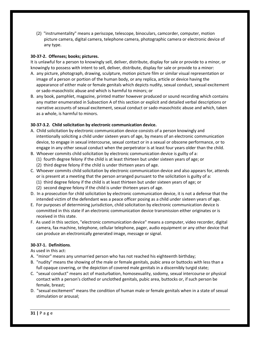(2) "instrumentality" means a periscope, telescope, binoculars, camcorder, computer, motion picture camera, digital camera, telephone camera, photographic camera or electronic device of any type.

# **30-37-2. Offenses; books; pictures.**

It is unlawful for a person to knowingly sell, deliver, distribute, display for sale or provide to a minor, or knowingly to possess with intent to sell, deliver, distribute, display for sale or provide to a minor:

- A. any picture, photograph, drawing, sculpture, motion picture film or similar visual representation or image of a person or portion of the human body, or any replica, article or device having the appearance of either male or female genitals which depicts nudity, sexual conduct, sexual excitement or sado-masochistic abuse and which is harmful to minors; or
- B. any book, pamphlet, magazine, printed matter however produced or sound recording which contains any matter enumerated in Subsection A of this section or explicit and detailed verbal descriptions or narrative accounts of sexual excitement, sexual conduct or sado-masochistic abuse and which, taken as a whole, is harmful to minors.

# **30-37-3.2. Child solicitation by electronic communication device.**

- A. Child solicitation by electronic communication device consists of a person knowingly and intentionally soliciting a child under sixteen years of age, by means of an electronic communication device, to engage in sexual intercourse, sexual contact or in a sexual or obscene performance, or to engage in any other sexual conduct when the perpetrator is at least four years older than the child.
- B. Whoever commits child solicitation by electronic communication device is guilty of a:
	- (1) fourth degree felony if the child is at least thirteen but under sixteen years of age; or
	- (2) third degree felony if the child is under thirteen years of age.
- C. Whoever commits child solicitation by electronic communication device and also appears for, attends or is present at a meeting that the person arranged pursuant to the solicitation is guilty of a:
	- (1) third degree felony if the child is at least thirteen but under sixteen years of age; or
	- (2) second degree felony if the child is under thirteen years of age.
- D. In a prosecution for child solicitation by electronic communication device, it is not a defense that the intended victim of the defendant was a peace officer posing as a child under sixteen years of age.
- E. For purposes of determining jurisdiction, child solicitation by electronic communication device is committed in this state if an electronic communication device transmission either originates or is received in this state.
- F. As used in this section, "electronic communication device" means a computer, video recorder, digital camera, fax machine, telephone, cellular telephone, pager, audio equipment or any other device that can produce an electronically generated image, message or signal.

# **30-37-1. Definitions**.

As used in this act:

- A. "minor" means any unmarried person who has not reached his eighteenth birthday;
- B. "nudity" means the showing of the male or female genitals, pubic area or buttocks with less than a full opaque covering, or the depiction of covered male genitals in a discernibly turgid state;
- C. "sexual conduct" means act of masturbation, homosexuality, sodomy, sexual intercourse or physical contact with a person's clothed or unclothed genitals, pubic area, buttocks or, if such person be female, breast;
- D. "sexual excitement" means the condition of human male or female genitals when in a state of sexual stimulation or arousal;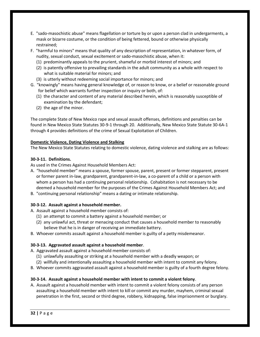- E. "sado-masochistic abuse" means flagellation or torture by or upon a person clad in undergarments, a mask or bizarre costume, or the condition of being fettered, bound or otherwise physically restrained;
- F. "harmful to minors" means that quality of any description of representation, in whatever form, of nudity, sexual conduct, sexual excitement or sado-masochistic abuse, when it:
	- (1) predominantly appeals to the prurient, shameful or morbid interest of minors; and
	- (2) is patently offensive to prevailing standards in the adult community as a whole with respect to what is suitable material for minors; and
	- (3) is utterly without redeeming social importance for minors; and
- G. "knowingly" means having general knowledge of, or reason to know, or a belief or reasonable ground for belief which warrants further inspection or inquiry or both, of:
	- (1) the character and content of any material described herein, which is reasonably susceptible of examination by the defendant;
	- (2) the age of the minor.

The complete State of New Mexico rape and sexual assault offenses, definitions and penalties can be found in New Mexico State Statutes 30-9-1 through 20. Additionally, New Mexico State Statute 30-6A-1 through 4 provides definitions of the crime of Sexual Exploitation of Children.

# **Domestic Violence, Dating Violence and Stalking**

The New Mexico State Statutes relating to domestic violence, dating violence and stalking are as follows:

# **30-3-11. Definitions.**

As used in the Crimes Against Household Members Act:

- A. "household member" means a spouse, former spouse, parent, present or former stepparent, present or former parent in-law, grandparent, grandparent-in-law, a co-parent of a child or a person with whom a person has had a continuing personal relationship. Cohabitation is not necessary to be deemed a household member for the purposes of the Crimes Against Household Members Act; and
- B. "continuing personal relationship" means a dating or intimate relationship.

# **30-3-12. Assault against a household member.**

- A. Assault against a household member consists of:
	- (1) an attempt to commit a battery against a household member; or
	- (2) any unlawful act, threat or menacing conduct that causes a household member to reasonably believe that he is in danger of receiving an immediate battery.
- B. Whoever commits assault against a household member is guilty of a petty misdemeanor.

# **30-3-13. Aggravated assault against a household member**.

- A. Aggravated assault against a household member consists of:
	- (1) unlawfully assaulting or striking at a household member with a deadly weapon; or
	- (2) willfully and intentionally assaulting a household member with intent to commit any felony.
- B. Whoever commits aggravated assault against a household member is guilty of a fourth degree felony.

# **30-3-14. Assault against a household member with intent to commit a violent felony**.

A. Assault against a household member with intent to commit a violent felony consists of any person assaulting a household member with intent to kill or commit any murder, mayhem, criminal sexual penetration in the first, second or third degree, robbery, kidnapping, false imprisonment or burglary.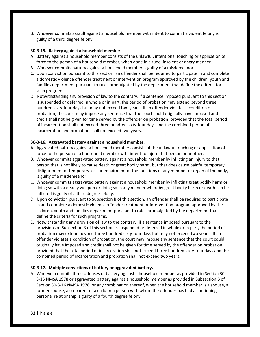B. Whoever commits assault against a household member with intent to commit a violent felony is guilty of a third degree felony.

# **30-3-15. Battery against a household member.**

- A. Battery against a household member consists of the unlawful, intentional touching or application of force to the person of a household member, when done in a rude, insolent or angry manner.
- B. Whoever commits battery against a household member is guilty of a misdemeanor.
- C. Upon conviction pursuant to this section, an offender shall be required to participate in and complete a domestic violence offender treatment or intervention program approved by the children, youth and families department pursuant to rules promulgated by the department that define the criteria for such programs.
- D. Notwithstanding any provision of law to the contrary, if a sentence imposed pursuant to this section is suspended or deferred in whole or in part, the period of probation may extend beyond three hundred sixty-four days but may not exceed two years. If an offender violates a condition of probation, the court may impose any sentence that the court could originally have imposed and credit shall not be given for time served by the offender on probation; provided that the total period of incarceration shall not exceed three hundred sixty-four days and the combined period of incarceration and probation shall not exceed two years.

# **30-3-16. Aggravated battery against a household member**.

- A. Aggravated battery against a household member consists of the unlawful touching or application of force to the person of a household member with intent to injure that person or another.
- B. Whoever commits aggravated battery against a household member by inflicting an injury to that person that is not likely to cause death or great bodily harm, but that does cause painful temporary disfigurement or temporary loss or impairment of the functions of any member or organ of the body, is guilty of a misdemeanor.
- C. Whoever commits aggravated battery against a household member by inflicting great bodily harm or doing so with a deadly weapon or doing so in any manner whereby great bodily harm or death can be inflicted is guilty of a third degree felony.
- D. Upon conviction pursuant to Subsection B of this section, an offender shall be required to participate in and complete a domestic violence offender treatment or intervention program approved by the children, youth and families department pursuant to rules promulgated by the department that define the criteria for such programs.
- E. Notwithstanding any provision of law to the contrary, if a sentence imposed pursuant to the provisions of Subsection B of this section is suspended or deferred in whole or in part, the period of probation may extend beyond three hundred sixty-four days but may not exceed two years. If an offender violates a condition of probation, the court may impose any sentence that the court could originally have imposed and credit shall not be given for time served by the offender on probation; provided that the total period of incarceration shall not exceed three hundred sixty-four days and the combined period of incarceration and probation shall not exceed two years.

# **30-3-17. Multiple convictions of battery or aggravated battery.**

A. Whoever commits three offenses of battery against a household member as provided in Section 30- 3-15 NMSA 1978 or aggravated battery against a household member as provided in Subsection B of Section 30-3-16 NMSA 1978, or any combination thereof, when the household member is a spouse, a former spouse, a co-parent of a child or a person with whom the offender has had a continuing personal relationship is guilty of a fourth degree felony.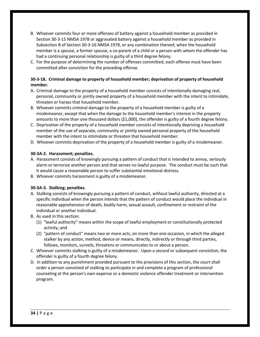- B. Whoever commits four or more offenses of battery against a household member as provided in Section 30-3-15 NMSA 1978 or aggravated battery against a household member as provided in Subsection B of Section 30-3-16 NMSA 1978, or any combination thereof, when the household member is a spouse, a former spouse, a co-parent of a child or a person with whom the offender has had a continuing personal relationship is guilty of a third degree felony.
- C. For the purpose of determining the number of offenses committed, each offense must have been committed after conviction for the preceding offense.

# **30-3-18. Criminal damage to property of household member; deprivation of property of household member.**

- A. Criminal damage to the property of a household member consists of intentionally damaging real, personal, community or jointly owned property of a household member with the intent to intimidate, threaten or harass that household member.
- B. Whoever commits criminal damage to the property of a household member is guilty of a misdemeanor, except that when the damage to the household member's interest in the property amounts to more than one thousand dollars (\$1,000), the offender is guilty of a fourth degree felony.
- C. Deprivation of the property of a household member consists of intentionally depriving a household member of the use of separate, community or jointly owned personal property of the household member with the intent to intimidate or threaten that household member.
- D. Whoever commits deprivation of the property of a household member is guilty of a misdemeanor.

# **30-3A-2. Harassment; penalties.**

- A. Harassment consists of knowingly pursuing a pattern of conduct that is intended to annoy, seriously alarm or terrorize another person and that serves no lawful purpose. The conduct must be such that it would cause a reasonable person to suffer substantial emotional distress.
- B. Whoever commits harassment is guilty of a misdemeanor.

# **30-3A-3. Stalking; penalties**.

- A. Stalking consists of knowingly pursuing a pattern of conduct, without lawful authority, directed at a specific individual when the person intends that the pattern of conduct would place the individual in reasonable apprehension of death, bodily harm, sexual assault, confinement or restraint of the individual or another individual.
- B. As used in this section:
	- (1) "lawful authority" means within the scope of lawful employment or constitutionally protected activity; and
	- (2) "pattern of conduct" means two or more acts, on more than one occasion, in which the alleged stalker by any action, method, device or means, directly, indirectly or through third parties, follows, monitors, surveils, threatens or communicates to or about a person.
- C. Whoever commits stalking is guilty of a misdemeanor. Upon a second or subsequent conviction, the offender is guilty of a fourth degree felony.
- D. In addition to any punishment provided pursuant to the provisions of this section, the court shall order a person convicted of stalking to participate in and complete a program of professional counseling at the person's own expense or a domestic violence offender treatment or intervention program.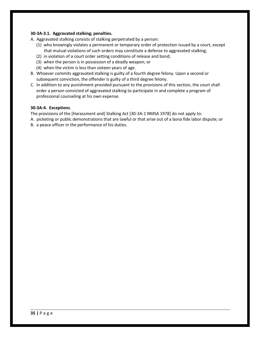#### **30-3A-3.1. Aggravated stalking; penalties.**

- A. Aggravated stalking consists of stalking perpetrated by a person:
	- (1) who knowingly violates a permanent or temporary order of protection issued by a court, except that mutual violations of such orders may constitute a defense to aggravated stalking;
	- (2) in violation of a court order setting conditions of release and bond;
	- (3) when the person is in possession of a deadly weapon; or
	- (4) when the victim is less than sixteen years of age.
- B. Whoever commits aggravated stalking is guilty of a fourth degree felony. Upon a second or subsequent conviction, the offender is guilty of a third degree felony.
- C. In addition to any punishment provided pursuant to the provisions of this section, the court shall order a person convicted of aggravated stalking to participate in and complete a program of professional counseling at his own expense.

#### **30-3A-4. Exceptions**.

The provisions of the [Harassment and] Stalking Act [30-3A-1 NMSA 1978] do not apply to:

- A. picketing or public demonstrations that are lawful or that arise out of a bona fide labor dispute; or
- B. a peace officer in the performance of his duties.